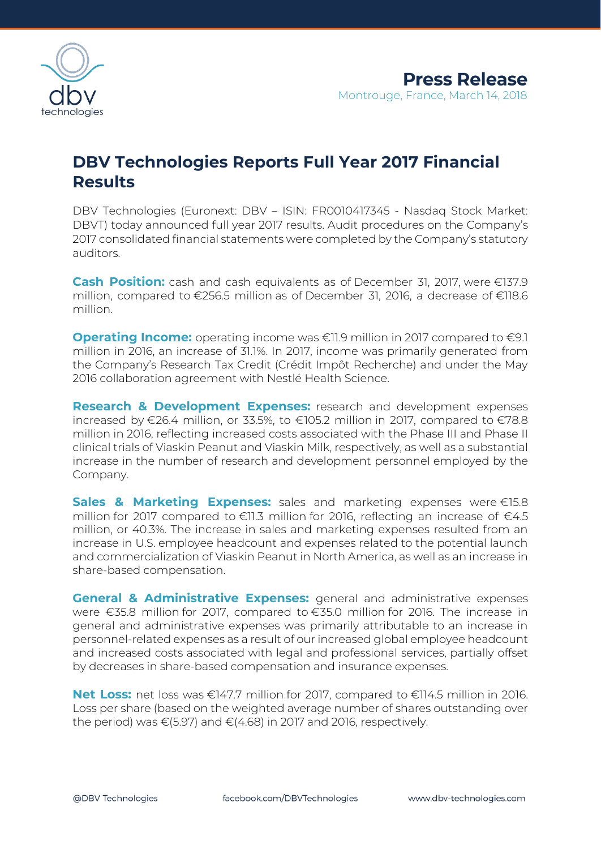

## **DBV Technologies Reports Full Year 2017 Financial Results**

DBV Technologies (Euronext: DBV – ISIN: FR0010417345 - Nasdaq Stock Market: DBVT) today announced full year 2017 results. Audit procedures on the Company's 2017 consolidated financial statements were completed by the Company's statutory auditors.

**Cash Position:** cash and cash equivalents as of December 31, 2017, were €137.9 million, compared to €256.5 million as of December 31, 2016, a decrease of €118.6 million.

**Operating Income:** operating income was €11.9 million in 2017 compared to €9.1 million in 2016, an increase of 31.1%. In 2017, income was primarily generated from the Company's Research Tax Credit (Crédit Impôt Recherche) and under the May 2016 collaboration agreement with Nestlé Health Science.

**Research & Development Expenses:** research and development expenses increased by €26.4 million, or 33.5%, to €105.2 million in 2017, compared to €78.8 million in 2016, reflecting increased costs associated with the Phase III and Phase II clinical trials of Viaskin Peanut and Viaskin Milk, respectively, as well as a substantial increase in the number of research and development personnel employed by the Company.

**Sales & Marketing Expenses:** sales and marketing expenses were €15.8 million for 2017 compared to  $\in$ 11.3 million for 2016, reflecting an increase of  $\in$ 4.5 million, or 40.3%. The increase in sales and marketing expenses resulted from an increase in U.S. employee headcount and expenses related to the potential launch and commercialization of Viaskin Peanut in North America, as well as an increase in share-based compensation.

**General & Administrative Expenses:** general and administrative expenses were €35.8 million for 2017, compared to €35.0 million for 2016. The increase in general and administrative expenses was primarily attributable to an increase in personnel-related expenses as a result of our increased global employee headcount and increased costs associated with legal and professional services, partially offset by decreases in share-based compensation and insurance expenses.

**Net Loss:** net loss was €147.7 million for 2017, compared to €114.5 million in 2016. Loss per share (based on the weighted average number of shares outstanding over the period) was  $\epsilon$ (5.97) and  $\epsilon$ (4.68) in 2017 and 2016, respectively.